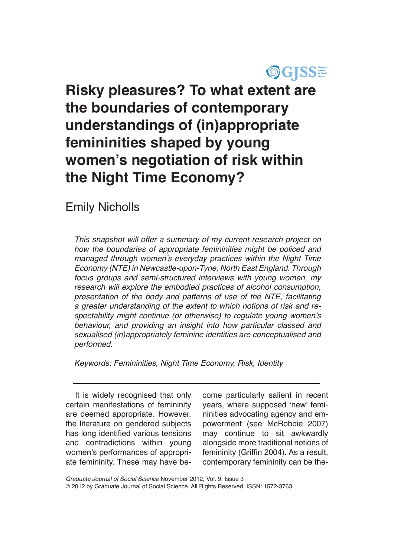

# **Risky pleasures? To what extent are the boundaries of contemporary understandings of (in)appropriate femininities shaped by young women's negotiation of risk within the Night Time Economy?**

# Emily Nicholls

*This snapshot will offer a summary of my current research project on how the boundaries of appropriate femininities might be policed and*  managed through women's everyday practices within the Night Time Economy (NTE) in Newcastle-upon-Tyne, North East England. Through focus groups and semi-structured interviews with young women, my research will explore the embodied practices of alcohol consumption, presentation of the body and patterns of use of the NTE, facilitating *a greater understanding of the extent to which notions of risk and re*spectability might continue (or otherwise) to regulate young women's behaviour, and providing an insight into how particular classed and sexualised (in)appropriately feminine identities are conceptualised and performed.

Keywords: Femininities, Night Time Economy, Risk, Identity

It is widely recognised that only certain manifestations of femininity are deemed appropriate. However, the literature on gendered subjects has long identified various tensions and contradictions within young women's performances of appropriate femininity. These may have become particularly salient in recent years, where supposed 'new' femininities advocating agency and empowerment (see McRobbie 2007) may continue to sit awkwardly alongside more traditional notions of femininity (Griffin 2004). As a result, contemporary femininity can be the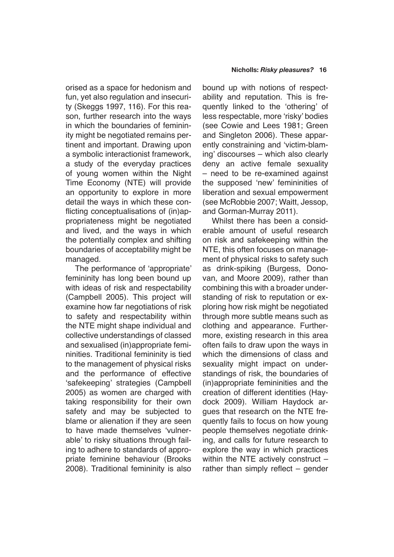orised as a space for hedonism and fun, yet also regulation and insecurity (Skeggs 1997, 116). For this reason, further research into the ways in which the boundaries of femininity might be negotiated remains pertinent and important. Drawing upon a symbolic interactionist framework, a study of the everyday practices of young women within the Night Time Economy (NTE) will provide an opportunity to explore in more detail the ways in which these conflicting conceptualisations of (in)appropriateness might be negotiated and lived, and the ways in which the potentially complex and shifting boundaries of acceptability might be managed.

The performance of 'appropriate' femininity has long been bound up with ideas of risk and respectability (Campbell 2005). This project will examine how far negotiations of risk to safety and respectability within the NTE might shape individual and collective understandings of classed and sexualised (in)appropriate femininities. Traditional femininity is tied to the management of physical risks and the performance of effective 'safekeeping' strategies (Campbell 2005) as women are charged with taking responsibility for their own safety and may be subjected to blame or alienation if they are seen to have made themselves 'vulnerable' to risky situations through failing to adhere to standards of appropriate feminine behaviour (Brooks 2008). Traditional femininity is also

bound up with notions of respectability and reputation. This is frequently linked to the 'othering' of less respectable, more 'risky' bodies (see Cowie and Lees 1981; Green and Singleton 2006). These apparently constraining and 'victim-blaming' discourses – which also clearly deny an active female sexuality – need to be re-examined against the supposed 'new' femininities of liberation and sexual empowerment (see McRobbie 2007; Waitt, Jessop, and Gorman-Murray 2011).

Whilst there has been a considerable amount of useful research on risk and safekeeping within the NTE, this often focuses on management of physical risks to safety such as drink-spiking (Burgess, Donovan, and Moore 2009), rather than combining this with a broader understanding of risk to reputation or exploring how risk might be negotiated through more subtle means such as clothing and appearance. Furthermore, existing research in this area often fails to draw upon the ways in which the dimensions of class and sexuality might impact on understandings of risk, the boundaries of (in)appropriate femininities and the creation of different identities (Haydock 2009). William Haydock argues that research on the NTE frequently fails to focus on how young people themselves negotiate drinking, and calls for future research to explore the way in which practices within the NTE actively construct – rather than simply reflect – gender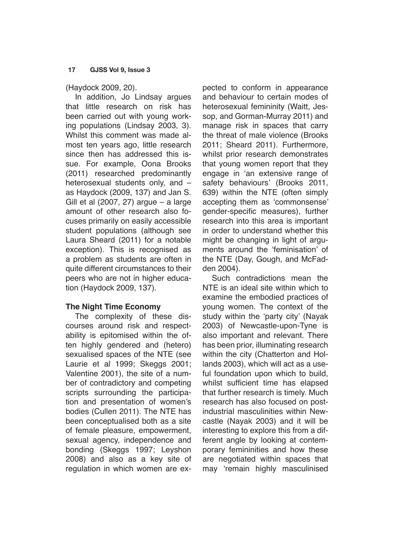### **17 GJSS Vol 9, Issue 3**

(Haydock 2009, 20).

In addition, Jo Lindsay argues that little research on risk has been carried out with young working populations (Lindsay 2003, 3). Whilst this comment was made almost ten years ago, little research since then has addressed this issue. For example, Oona Brooks (2011) researched predominantly heterosexual students only, and – as Haydock (2009, 137) and Jan S. Gill et al (2007, 27) argue – a large amount of other research also focuses primarily on easily accessible student populations (although see Laura Sheard (2011) for a notable exception). This is recognised as a problem as students are often in quite different circumstances to their peers who are not in higher education (Haydock 2009, 137).

# **The Night Time Economy**

The complexity of these discourses around risk and respectability is epitomised within the often highly gendered and (hetero) sexualised spaces of the NTE (see Laurie et al 1999; Skeggs 2001; Valentine 2001), the site of a number of contradictory and competing scripts surrounding the participation and presentation of women's bodies (Cullen 2011). The NTE has been conceptualised both as a site of female pleasure, empowerment, sexual agency, independence and bonding (Skeggs 1997; Leyshon 2008) and also as a key site of regulation in which women are expected to conform in appearance and behaviour to certain modes of heterosexual femininity (Waitt, Jessop, and Gorman-Murray 2011) and manage risk in spaces that carry the threat of male violence (Brooks 2011; Sheard 2011). Furthermore, whilst prior research demonstrates that young women report that they engage in 'an extensive range of safety behaviours' (Brooks 2011, 639) within the NTE (often simply accepting them as 'commonsense' gender-specific measures), further research into this area is important in order to understand whether this might be changing in light of arguments around the 'feminisation' of the NTE (Day, Gough, and McFadden 2004).

Such contradictions mean the NTE is an ideal site within which to examine the embodied practices of young women. The context of the study within the 'party city' (Nayak 2003) of Newcastle-upon-Tyne is also important and relevant. There has been prior, illuminating research within the city (Chatterton and Hollands 2003), which will act as a useful foundation upon which to build, whilst sufficient time has elapsed that further research is timely. Much research has also focused on postindustrial masculinities within Newcastle (Nayak 2003) and it will be interesting to explore this from a different angle by looking at contemporary femininities and how these are negotiated within spaces that may 'remain highly masculinised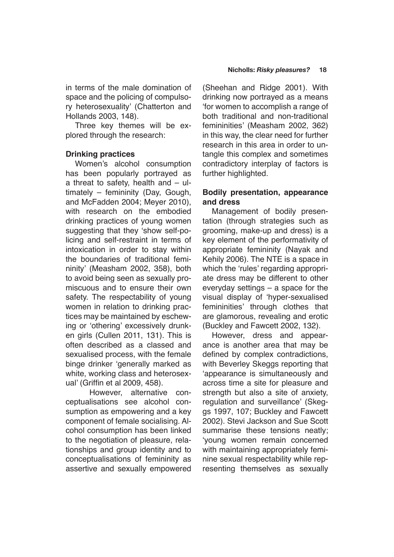in terms of the male domination of space and the policing of compulsory heterosexuality' (Chatterton and Hollands 2003, 148).

Three key themes will be explored through the research:

# **Drinking practices**

Women's alcohol consumption has been popularly portrayed as a threat to safety, health and  $-$  ultimately – femininity (Day, Gough, and McFadden 2004; Meyer 2010), with research on the embodied drinking practices of young women suggesting that they 'show self-policing and self-restraint in terms of intoxication in order to stay within the boundaries of traditional femininity' (Measham 2002, 358), both to avoid being seen as sexually promiscuous and to ensure their own safety. The respectability of young women in relation to drinking practices may be maintained by eschewing or 'othering' excessively drunken girls (Cullen 2011, 131). This is often described as a classed and sexualised process, with the female binge drinker 'generally marked as white, working class and heterosexual' (Griffin et al 2009, 458).

However, alternative conceptualisations see alcohol consumption as empowering and a key component of female socialising. Alcohol consumption has been linked to the negotiation of pleasure, relationships and group identity and to conceptualisations of femininity as assertive and sexually empowered

(Sheehan and Ridge 2001). With drinking now portrayed as a means 'for women to accomplish a range of both traditional and non-traditional femininities' (Measham 2002, 362) in this way, the clear need for further research in this area in order to untangle this complex and sometimes contradictory interplay of factors is further highlighted.

# **Bodily presentation, appearance and dress**

Management of bodily presentation (through strategies such as grooming, make-up and dress) is a key element of the performativity of appropriate femininity (Nayak and Kehily 2006). The NTE is a space in which the 'rules' regarding appropriate dress may be different to other everyday settings – a space for the visual display of 'hyper-sexualised femininities' through clothes that are glamorous, revealing and erotic (Buckley and Fawcett 2002, 132).

However, dress and appearance is another area that may be defined by complex contradictions, with Beverley Skeggs reporting that 'appearance is simultaneously and across time a site for pleasure and strength but also a site of anxiety, regulation and surveillance' (Skeggs 1997, 107; Buckley and Fawcett 2002). Stevi Jackson and Sue Scott summarise these tensions neatly; 'young women remain concerned with maintaining appropriately feminine sexual respectability while representing themselves as sexually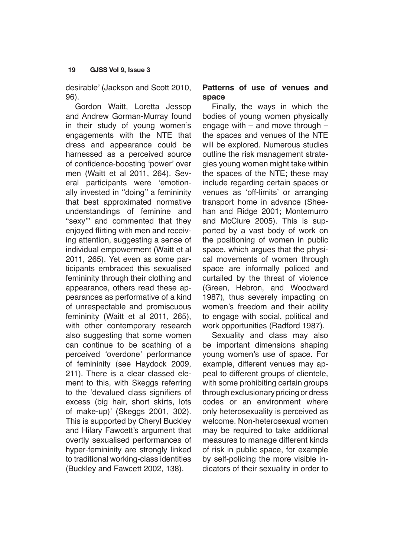desirable' (Jackson and Scott 2010, 96).

Gordon Waitt, Loretta Jessop and Andrew Gorman-Murray found in their study of young women's engagements with the NTE that dress and appearance could be harnessed as a perceived source of confidence-boosting 'power' over men (Waitt et al 2011, 264). Several participants were 'emotionally invested in ''doing'' a femininity that best approximated normative understandings of feminine and "sexy" and commented that they enjoyed flirting with men and receiving attention, suggesting a sense of individual empowerment (Waitt et al 2011, 265). Yet even as some participants embraced this sexualised femininity through their clothing and appearance, others read these appearances as performative of a kind of unrespectable and promiscuous femininity (Waitt et al 2011, 265), with other contemporary research also suggesting that some women can continue to be scathing of a perceived 'overdone' performance of femininity (see Haydock 2009, 211). There is a clear classed element to this, with Skeggs referring to the 'devalued class signifiers of excess (big hair, short skirts, lots of make-up)' (Skeggs 2001, 302). This is supported by Cheryl Buckley and Hilary Fawcett's argument that overtly sexualised performances of hyper-femininity are strongly linked to traditional working-class identities (Buckley and Fawcett 2002, 138).

# **Patterns of use of venues and space**

Finally, the ways in which the bodies of young women physically engage with – and move through – the spaces and venues of the NTE will be explored. Numerous studies outline the risk management strategies young women might take within the spaces of the NTE; these may include regarding certain spaces or venues as 'off-limits' or arranging transport home in advance (Sheehan and Ridge 2001; Montemurro and McClure 2005). This is supported by a vast body of work on the positioning of women in public space, which argues that the physical movements of women through space are informally policed and curtailed by the threat of violence (Green, Hebron, and Woodward 1987), thus severely impacting on women's freedom and their ability to engage with social, political and work opportunities (Radford 1987).

Sexuality and class may also be important dimensions shaping young women's use of space. For example, different venues may appeal to different groups of clientele, with some prohibiting certain groups through exclusionary pricing or dress codes or an environment where only heterosexuality is perceived as welcome. Non-heterosexual women may be required to take additional measures to manage different kinds of risk in public space, for example by self-policing the more visible indicators of their sexuality in order to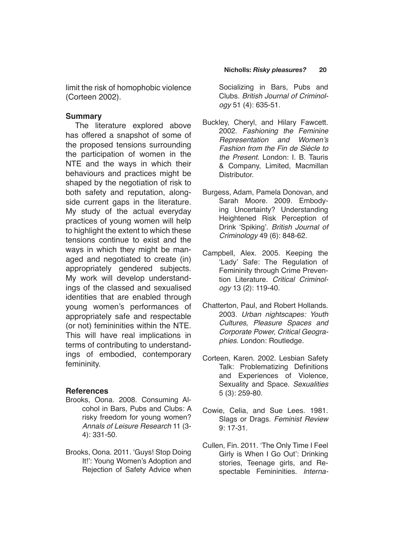limit the risk of homophobic violence (Corteen 2002).

#### **Summary**

The literature explored above has offered a snapshot of some of the proposed tensions surrounding the participation of women in the NTE and the ways in which their behaviours and practices might be shaped by the negotiation of risk to both safety and reputation, alongside current gaps in the literature. My study of the actual everyday practices of young women will help to highlight the extent to which these tensions continue to exist and the ways in which they might be managed and negotiated to create (in) appropriately gendered subjects. My work will develop understandings of the classed and sexualised identities that are enabled through young women's performances of appropriately safe and respectable (or not) femininities within the NTE. This will have real implications in terms of contributing to understandings of embodied, contemporary femininity.

# **References**

- Brooks, Oona. 2008. Consuming Alcohol in Bars, Pubs and Clubs: A risky freedom for young women? Annals of Leisure Research 11 (3- 4): 331-50.
- Brooks, Oona. 2011. 'Guys! Stop Doing It!': Young Women's Adoption and Rejection of Safety Advice when

Socializing in Bars, Pubs and Clubs. *British Journal of Criminology* 51 (4): 635-51.

- Buckley, Cheryl, and Hilary Fawcett. 2002. *Fashioning the Feminine*  Representation and Women's *Fashion from the Fin de Siècle to*  the Present. London: I. B. Tauris & Company, Limited, Macmillan Distributor.
- Burgess, Adam, Pamela Donovan, and Sarah Moore. 2009. Embodying Uncertainty? Understanding Heightened Risk Perception of Drink 'Spiking'. *British Journal of Criminology* 49 (6): 848-62.
- Campbell, Alex. 2005. Keeping the 'Lady' Safe: The Regulation of Femininity through Crime Prevention Literature. *Critical Criminology* 13 (2): 119-40.
- Chatterton, Paul, and Robert Hollands. 2003. *Urban nightscapes: Youth*  Cultures, Pleasure Spaces and Corporate Power, Critical Geogra*phies*. London: Routledge.
- Corteen, Karen. 2002. Lesbian Safety Talk: Problematizing Definitions and Experiences of Violence, Sexuality and Space. *Sexualities* 5 (3): 259-80.
- Cowie, Celia, and Sue Lees. 1981. Slags or Drags. Feminist Review 9: 17-31.
- Cullen, Fin. 2011. 'The Only Time I Feel Girly is When I Go Out': Drinking stories, Teenage girls, and Respectable Femininities. Interna-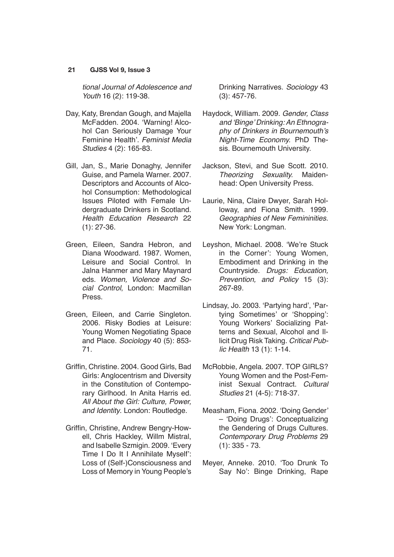#### **21 GJSS Vol 9, Issue 3**

*tional Journal of Adolescence and Youth* 16 (2): 119-38.

- Day, Katy, Brendan Gough, and Majella McFadden. 2004. 'Warning! Alcohol Can Seriously Damage Your Feminine Health'. *Feminist Media Studies* 4 (2): 165-83.
- Gill, Jan, S., Marie Donaghy, Jennifer Guise, and Pamela Warner. 2007. Descriptors and Accounts of Alcohol Consumption: Methodological Issues Piloted with Female Undergraduate Drinkers in Scotland. Health Education Research 22 (1): 27-36.
- Green, Eileen, Sandra Hebron, and Diana Woodward. 1987. Women, Leisure and Social Control. In Jalna Hanmer and Mary Maynard eds. Women, Violence and So*cial Control*, London: Macmillan Press.
- Green, Eileen, and Carrie Singleton. 2006. Risky Bodies at Leisure: Young Women Negotiating Space and Place. *Sociology* 40 (5): 853- 71.
- Griffin, Christine. 2004. Good Girls, Bad Girls: Anglocentrism and Diversity in the Constitution of Contemporary Girlhood. In Anita Harris ed. All About the Girl: Culture, Power, and Identity. London: Routledge.
- Griffin, Christine, Andrew Bengry-Howell, Chris Hackley, Willm Mistral, and Isabelle Szmigin. 2009. 'Every Time I Do It I Annihilate Myself': Loss of (Self-)Consciousness and Loss of Memory in Young People's

Drinking Narratives. *Sociology* 43 (3): 457-76.

- Haydock, William. 2009. Gender, Class and 'Binge' Drinking: An Ethnography of Drinkers in Bournemouth's Night-Time Economy. PhD Thesis. Bournemouth University.
- Jackson, Stevi, and Sue Scott. 2010. Theorizing Sexuality. Maidenhead: Open University Press.
- Laurie, Nina, Claire Dwyer, Sarah Holloway, and Fiona Smith. 1999. Geographies of New Femininities. New York: Longman.
- Leyshon, Michael. 2008. 'We're Stuck in the Corner': Young Women, Embodiment and Drinking in the Countryside. Drugs: Education, Prevention, and Policy 15 (3): 267-89.
- Lindsay, Jo. 2003. 'Partying hard', 'Partying Sometimes' or 'Shopping': Young Workers' Socializing Patterns and Sexual, Alcohol and Illicit Drug Risk Taking. *Critical Public Health* 13 (1): 1-14.
- McRobbie, Angela. 2007. TOP GIRLS? Young Women and the Post-Feminist Sexual Contract. *Cultural Studies* 21 (4-5): 718-37.
- Measham, Fiona. 2002. 'Doing Gender' – 'Doing Drugs': Conceptualizing the Gendering of Drugs Cultures. Contemporary Drug Problems 29 (1): 335 - 73.
- Meyer, Anneke. 2010. 'Too Drunk To Say No': Binge Drinking, Rape